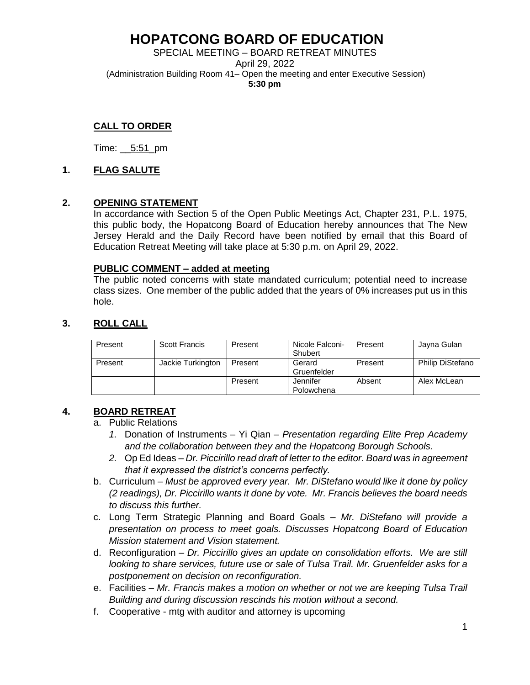# **HOPATCONG BOARD OF EDUCATION**

SPECIAL MEETING – BOARD RETREAT MINUTES April 29, 2022 (Administration Building Room 41– Open the meeting and enter Executive Session) **5:30 pm**

# **CALL TO ORDER**

Time: \_\_5:51\_pm

### **1. FLAG SALUTE**

### **2. OPENING STATEMENT**

In accordance with Section 5 of the Open Public Meetings Act, Chapter 231, P.L. 1975, this public body, the Hopatcong Board of Education hereby announces that The New Jersey Herald and the Daily Record have been notified by email that this Board of Education Retreat Meeting will take place at 5:30 p.m. on April 29, 2022.

### **PUBLIC COMMENT – added at meeting**

The public noted concerns with state mandated curriculum; potential need to increase class sizes. One member of the public added that the years of 0% increases put us in this hole.

### **3. ROLL CALL**

| Present | <b>Scott Francis</b> | Present | Nicole Falconi-<br>Shubert | Present | Jayna Gulan             |
|---------|----------------------|---------|----------------------------|---------|-------------------------|
| Present | Jackie Turkington    | Present | Gerard<br>Gruenfelder      | Present | <b>Philip DiStefano</b> |
|         |                      | Present | Jennifer<br>Polowchena     | Absent  | Alex McLean             |

### **4. BOARD RETREAT**

- a. Public Relations
	- *1.* Donation of Instruments Yi Qian *Presentation regarding Elite Prep Academy and the collaboration between they and the Hopatcong Borough Schools.*
	- *2.* Op Ed Ideas *Dr. Piccirillo read draft of letter to the editor. Board was in agreement that it expressed the district's concerns perfectly.*
- b. Curriculum *Must be approved every year. Mr. DiStefano would like it done by policy (2 readings), Dr. Piccirillo wants it done by vote. Mr. Francis believes the board needs to discuss this further.*
- c. Long Term Strategic Planning and Board Goals *Mr. DiStefano will provide a presentation on process to meet goals. Discusses Hopatcong Board of Education Mission statement and Vision statement.*
- d. Reconfiguration *Dr. Piccirillo gives an update on consolidation efforts. We are still looking to share services, future use or sale of Tulsa Trail. Mr. Gruenfelder asks for a postponement on decision on reconfiguration.*
- e. Facilities *Mr. Francis makes a motion on whether or not we are keeping Tulsa Trail Building and during discussion rescinds his motion without a second.*
- f. Cooperative mtg with auditor and attorney is upcoming